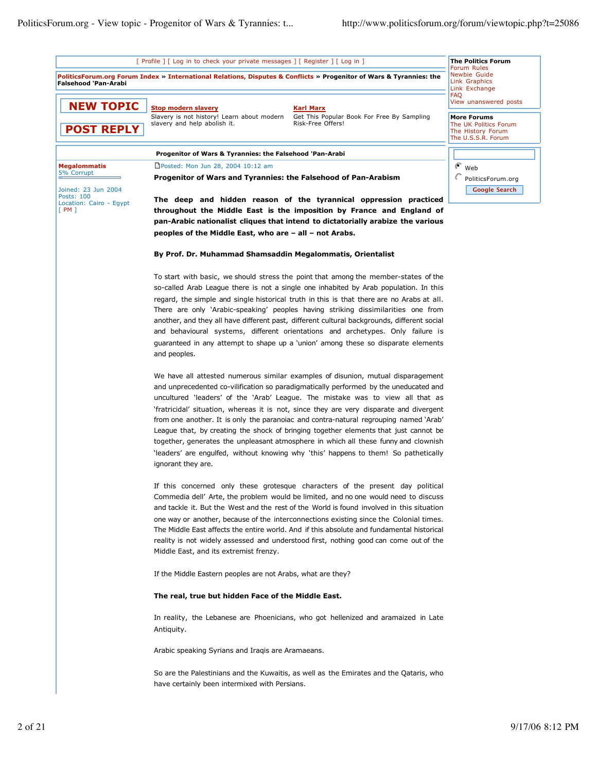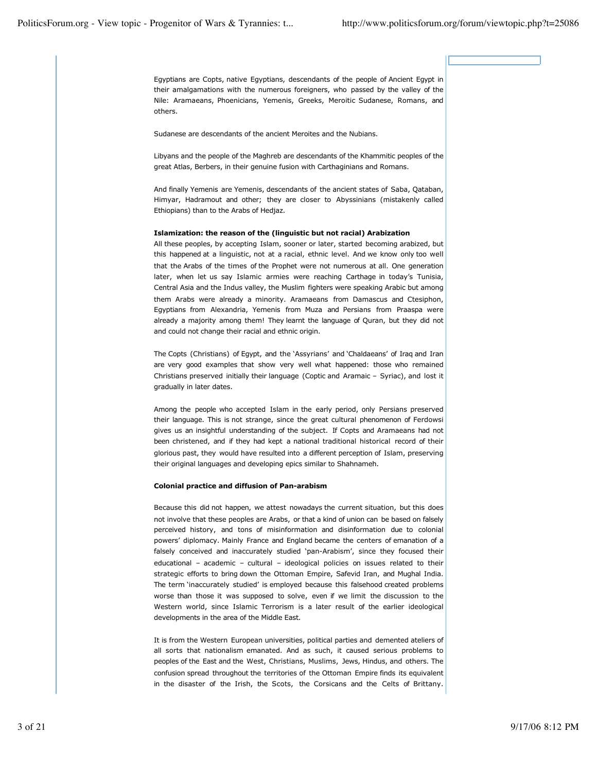Egyptians are Copts, native Egyptians, descendants of the people of Ancient Egypt in their amalgamations with the numerous foreigners, who passed by the valley of the Nile: Aramaeans, Phoenicians, Yemenis, Greeks, Meroitic Sudanese, Romans, and others.

Sudanese are descendants of the ancient Meroites and the Nubians.

Libyans and the people of the Maghreb are descendants of the Khammitic peoples of the great Atlas, Berbers, in their genuine fusion with Carthaginians and Romans.

And finally Yemenis are Yemenis, descendants of the ancient states of Saba, Qataban, Himyar, Hadramout and other; they are closer to Abyssinians (mistakenly called Ethiopians) than to the Arabs of Hedjaz.

### **Islamization: the reason of the (linguistic but not racial) Arabization**

All these peoples, by accepting Islam, sooner or later, started becoming arabized, but this happened at a linguistic, not at a racial, ethnic level. And we know only too well that the Arabs of the times of the Prophet were not numerous at all. One generation later, when let us say Islamic armies were reaching Carthage in today's Tunisia, Central Asia and the Indus valley, the Muslim fighters were speaking Arabic but among them Arabs were already a minority. Aramaeans from Damascus and Ctesiphon, Egyptians from Alexandria, Yemenis from Muza and Persians from Praaspa were already a majority among them! They learnt the language of Quran, but they did not and could not change their racial and ethnic origin.

The Copts (Christians) of Egypt, and the 'Assyrians' and 'Chaldaeans' of Iraq and Iran are very good examples that show very well what happened: those who remained Christians preserved initially their language (Coptic and Aramaic – Syriac), and lost it gradually in later dates.

Among the people who accepted Islam in the early period, only Persians preserved their language. This is not strange, since the great cultural phenomenon of Ferdowsi gives us an insightful understanding of the subject. If Copts and Aramaeans had not been christened, and if they had kept a national traditional historical record of their glorious past, they would have resulted into a different perception of Islam, preserving their original languages and developing epics similar to Shahnameh.

### **Colonial practice and diffusion of Pan-arabism**

Because this did not happen, we attest nowadays the current situation, but this does not involve that these peoples are Arabs, or that a kind of union can be based on falsely perceived history, and tons of misinformation and disinformation due to colonial powers' diplomacy. Mainly France and England became the centers of emanation of a falsely conceived and inaccurately studied 'pan-Arabism', since they focused their educational – academic – cultural – ideological policies on issues related to their strategic efforts to bring down the Ottoman Empire, Safevid Iran, and Mughal India. The term 'inaccurately studied' is employed because this falsehood created problems worse than those it was supposed to solve, even if we limit the discussion to the Western world, since Islamic Terrorism is a later result of the earlier ideological developments in the area of the Middle East.

It is from the Western European universities, political parties and demented ateliers of all sorts that nationalism emanated. And as such, it caused serious problems to peoples of the East and the West, Christians, Muslims, Jews, Hindus, and others. The confusion spread throughout the territories of the Ottoman Empire finds its equivalent in the disaster of the Irish, the Scots, the Corsicans and the Celts of Brittany.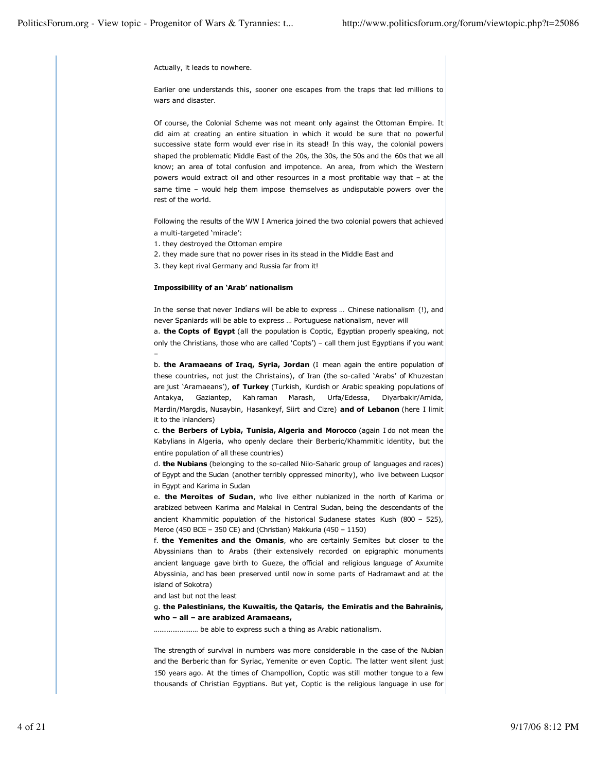–

Actually, it leads to nowhere.

Earlier one understands this, sooner one escapes from the traps that led millions to wars and disaster.

Of course, the Colonial Scheme was not meant only against the Ottoman Empire. It did aim at creating an entire situation in which it would be sure that no powerful successive state form would ever rise in its stead! In this way, the colonial powers shaped the problematic Middle East of the 20s, the 30s, the 50s and the 60s that we all know; an area of total confusion and impotence. An area, from which the Western powers would extract oil and other resources in a most profitable way that – at the same time – would help them impose themselves as undisputable powers over the rest of the world.

Following the results of the WW I America joined the two colonial powers that achieved a multi-targeted 'miracle':

- 1. they destroyed the Ottoman empire
- 2. they made sure that no power rises in its stead in the Middle East and
- 3. they kept rival Germany and Russia far from it!

### **Impossibility of an 'Arab' nationalism**

In the sense that never Indians will be able to express … Chinese nationalism (!), and never Spaniards will be able to express … Portuguese nationalism, never will

a. **the Copts of Egypt** (all the population is Coptic, Egyptian properly speaking, not only the Christians, those who are called 'Copts') – call them just Egyptians if you want

b. **the Aramaeans of Iraq, Syria, Jordan** (I mean again the entire population of these countries, not just the Christains), of Iran (the so-called 'Arabs' of Khuzestan are just 'Aramaeans'), **of Turkey** (Turkish, Kurdish or Arabic speaking populations of Antakya, Gaziantep, Kahraman Marash, Urfa/Edessa, Diyarbakir/Amida, Mardin/Margdis, Nusaybin, Hasankeyf, Siirt and Cizre) **and of Lebanon** (here I limit it to the inlanders)

c. **the Berbers of Lybia, Tunisia, Algeria and Morocco** (again I do not mean the Kabylians in Algeria, who openly declare their Berberic/Khammitic identity, but the entire population of all these countries)

d. **the Nubians** (belonging to the so-called Nilo-Saharic group of languages and races) of Egypt and the Sudan (another terribly oppressed minority), who live between Luqsor in Egypt and Karima in Sudan

e. **the Meroites of Sudan**, who live either nubianized in the north of Karima or arabized between Karima and Malakal in Central Sudan, being the descendants of the ancient Khammitic population of the historical Sudanese states Kush (800 – 525), Meroe (450 BCE – 350 CE) and (Christian) Makkuria (450 – 1150)

f. **the Yemenites and the Omanis**, who are certainly Semites but closer to the Abyssinians than to Arabs (their extensively recorded on epigraphic monuments ancient language gave birth to Gueze, the official and religious language of Axumite Abyssinia, and has been preserved until now in some parts of Hadramawt and at the island of Sokotra)

and last but not the least

g. **the Palestinians, the Kuwaitis, the Qataris, the Emiratis and the Bahrainis, who – all – are arabized Aramaeans,**

…………………… be able to express such a thing as Arabic nationalism.

The strength of survival in numbers was more considerable in the case of the Nubian and the Berberic than for Syriac, Yemenite or even Coptic. The latter went silent just 150 years ago. At the times of Champollion, Coptic was still mother tongue to a few thousands of Christian Egyptians. But yet, Coptic is the religious language in use for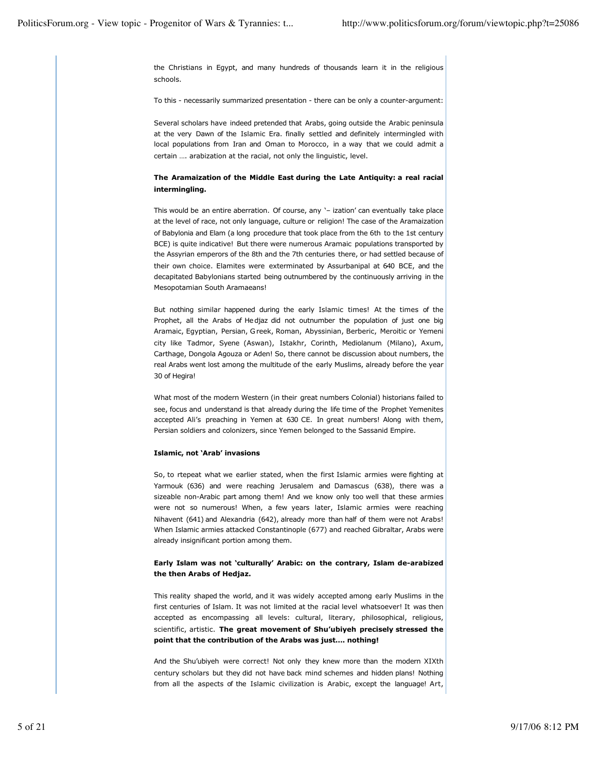the Christians in Egypt, and many hundreds of thousands learn it in the religious schools.

To this - necessarily summarized presentation - there can be only a counter-argument:

Several scholars have indeed pretended that Arabs, going outside the Arabic peninsula at the very Dawn of the Islamic Era. finally settled and definitely intermingled with local populations from Iran and Oman to Morocco, in a way that we could admit a certain …. arabization at the racial, not only the linguistic, level.

### **The Aramaization of the Middle East during the Late Antiquity: a real racial intermingling.**

This would be an entire aberration. Of course, any '– ization' can eventually take place at the level of race, not only language, culture or religion! The case of the Aramaization of Babylonia and Elam (a long procedure that took place from the 6th to the 1st century BCE) is quite indicative! But there were numerous Aramaic populations transported by the Assyrian emperors of the 8th and the 7th centuries there, or had settled because of their own choice. Elamites were exterminated by Assurbanipal at 640 BCE, and the decapitated Babylonians started being outnumbered by the continuously arriving in the Mesopotamian South Aramaeans!

But nothing similar happened during the early Islamic times! At the times of the Prophet, all the Arabs of Hedjaz did not outnumber the population of just one big Aramaic, Egyptian, Persian, Greek, Roman, Abyssinian, Berberic, Meroitic or Yemeni city like Tadmor, Syene (Aswan), Istakhr, Corinth, Mediolanum (Milano), Axum, Carthage, Dongola Agouza or Aden! So, there cannot be discussion about numbers, the real Arabs went lost among the multitude of the early Muslims, already before the year 30 of Hegira!

What most of the modern Western (in their great numbers Colonial) historians failed to see, focus and understand is that already during the life time of the Prophet Yemenites accepted Ali's preaching in Yemen at 630 CE. In great numbers! Along with them, Persian soldiers and colonizers, since Yemen belonged to the Sassanid Empire.

### **Islamic, not 'Arab' invasions**

So, to rtepeat what we earlier stated, when the first Islamic armies were fighting at Yarmouk (636) and were reaching Jerusalem and Damascus (638), there was a sizeable non-Arabic part among them! And we know only too well that these armies were not so numerous! When, a few years later, Islamic armies were reaching Nihavent (641) and Alexandria (642), already more than half of them were not Arabs! When Islamic armies attacked Constantinople (677) and reached Gibraltar, Arabs were already insignificant portion among them.

### **Early Islam was not 'culturally' Arabic: on the contrary, Islam de-arabized the then Arabs of Hedjaz.**

This reality shaped the world, and it was widely accepted among early Muslims in the first centuries of Islam. It was not limited at the racial level whatsoever! It was then accepted as encompassing all levels: cultural, literary, philosophical, religious, scientific, artistic. **The great movement of Shu'ubiyeh precisely stressed the point that the contribution of the Arabs was just…. nothing!**

And the Shu'ubiyeh were correct! Not only they knew more than the modern XIXth century scholars but they did not have back mind schemes and hidden plans! Nothing from all the aspects of the Islamic civilization is Arabic, except the language! Art,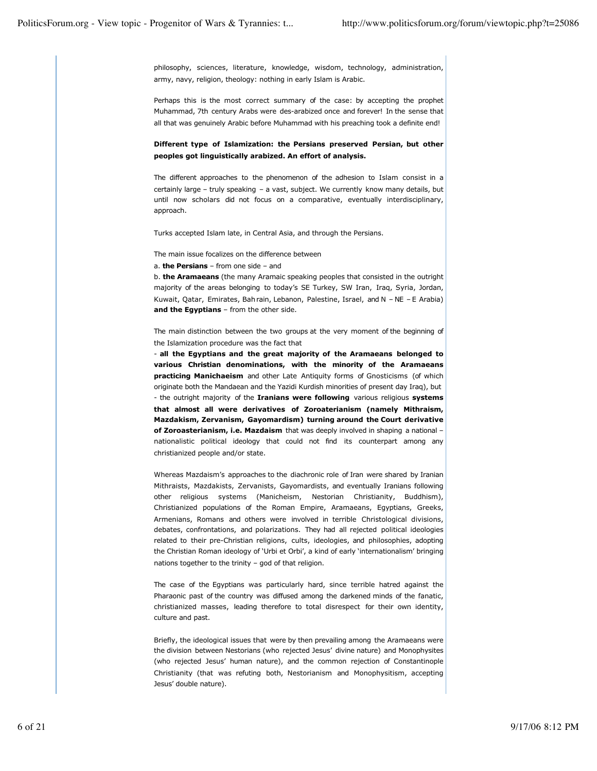philosophy, sciences, literature, knowledge, wisdom, technology, administration, army, navy, religion, theology: nothing in early Islam is Arabic.

Perhaps this is the most correct summary of the case: by accepting the prophet Muhammad, 7th century Arabs were des-arabized once and forever! In the sense that all that was genuinely Arabic before Muhammad with his preaching took a definite end!

## **Different type of Islamization: the Persians preserved Persian, but other peoples got linguistically arabized. An effort of analysis.**

The different approaches to the phenomenon of the adhesion to Islam consist in a certainly large – truly speaking – a vast, subject. We currently know many details, but until now scholars did not focus on a comparative, eventually interdisciplinary, approach.

Turks accepted Islam late, in Central Asia, and through the Persians.

The main issue focalizes on the difference between

a. **the Persians** – from one side – and

b. **the Aramaeans** (the many Aramaic speaking peoples that consisted in the outright majority of the areas belonging to today's SE Turkey, SW Iran, Iraq, Syria, Jordan, Kuwait, Qatar, Emirates, Bahrain, Lebanon, Palestine, Israel, and N – NE – E Arabia) **and the Egyptians** – from the other side.

The main distinction between the two groups at the very moment of the beginning of the Islamization procedure was the fact that

- **all the Egyptians and the great majority of the Aramaeans belonged to various Christian denominations, with the minority of the Aramaeans practicing Manichaeism** and other Late Antiquity forms of Gnosticisms (of which originate both the Mandaean and the Yazidi Kurdish minorities of present day Iraq), but - the outright majority of the **Iranians were following** various religious **systems that almost all were derivatives of Zoroaterianism (namely Mithraism, Mazdakism, Zervanism, Gayomardism) turning around the Court derivative of Zoroasterianism, i.e. Mazdaism** that was deeply involved in shaping a national – nationalistic political ideology that could not find its counterpart among any christianized people and/or state.

Whereas Mazdaism's approaches to the diachronic role of Iran were shared by Iranian Mithraists, Mazdakists, Zervanists, Gayomardists, and eventually Iranians following other religious systems (Manicheism, Nestorian Christianity, Buddhism), Christianized populations of the Roman Empire, Aramaeans, Egyptians, Greeks, Armenians, Romans and others were involved in terrible Christological divisions, debates, confrontations, and polarizations. They had all rejected political ideologies related to their pre-Christian religions, cults, ideologies, and philosophies, adopting the Christian Roman ideology of 'Urbi et Orbi', a kind of early 'internationalism' bringing nations together to the trinity – god of that religion.

The case of the Egyptians was particularly hard, since terrible hatred against the Pharaonic past of the country was diffused among the darkened minds of the fanatic, christianized masses, leading therefore to total disrespect for their own identity, culture and past.

Briefly, the ideological issues that were by then prevailing among the Aramaeans were the division between Nestorians (who rejected Jesus' divine nature) and Monophysites (who rejected Jesus' human nature), and the common rejection of Constantinople Christianity (that was refuting both, Nestorianism and Monophysitism, accepting Jesus' double nature).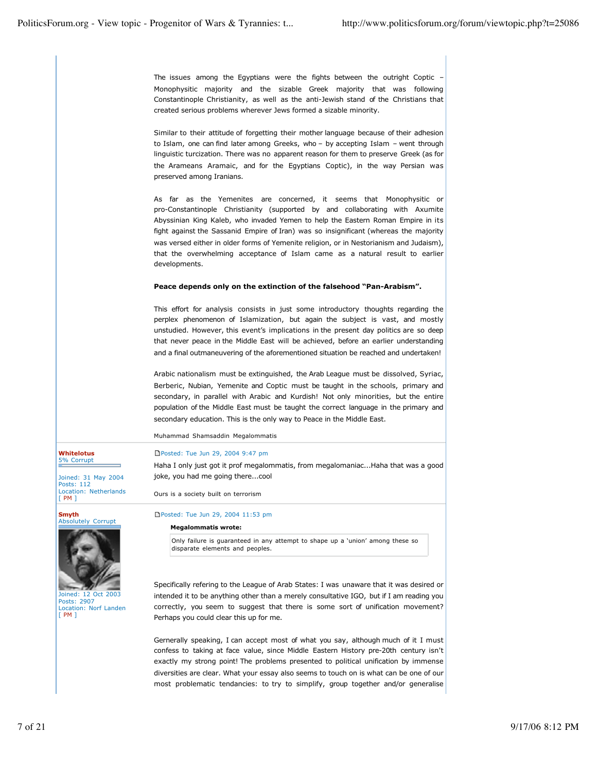The issues among the Egyptians were the fights between the outright Coptic – Monophysitic majority and the sizable Greek majority that was following Constantinople Christianity, as well as the anti-Jewish stand of the Christians that created serious problems wherever Jews formed a sizable minority.

Similar to their attitude of forgetting their mother language because of their adhesion to Islam, one can find later among Greeks, who – by accepting Islam – went through linguistic turcization. There was no apparent reason for them to preserve Greek (as for the Arameans Aramaic, and for the Egyptians Coptic), in the way Persian was preserved among Iranians.

As far as the Yemenites are concerned, it seems that Monophysitic or pro-Constantinople Christianity (supported by and collaborating with Axumite Abyssinian King Kaleb, who invaded Yemen to help the Eastern Roman Empire in its fight against the Sassanid Empire of Iran) was so insignificant (whereas the majority was versed either in older forms of Yemenite religion, or in Nestorianism and Judaism), that the overwhelming acceptance of Islam came as a natural result to earlier developments.

# **Peace depends only on the extinction of the falsehood "Pan-Arabism".**

This effort for analysis consists in just some introductory thoughts regarding the perplex phenomenon of Islamization, but again the subject is vast, and mostly unstudied. However, this event's implications in the present day politics are so deep that never peace in the Middle East will be achieved, before an earlier understanding and a final outmaneuvering of the aforementioned situation be reached and undertaken!

Arabic nationalism must be extinguished, the Arab League must be dissolved, Syriac, Berberic, Nubian, Yemenite and Coptic must be taught in the schools, primary and secondary, in parallel with Arabic and Kurdish! Not only minorities, but the entire population of the Middle East must be taught the correct language in the primary and secondary education. This is the only way to Peace in the Middle East.

Muhammad Shamsaddin Megalommatis

# Posted: Tue Jun 29, 2004 9:47 pm

Haha I only just got it prof megalommatis, from megalomaniac...Haha that was a good joke, you had me going there...cool

Ours is a society built on terrorism

## Posted: Tue Jun 29, 2004 11:53 pm

**Megalommatis wrote:**

Only failure is guaranteed in any attempt to shape up a 'union' among these so disparate elements and peoples.

Specifically refering to the League of Arab States: I was unaware that it was desired or intended it to be anything other than a merely consultative IGO, but if I am reading you correctly, you seem to suggest that there is some sort of unification movement? Perhaps you could clear this up for me.

Gernerally speaking, I can accept most of what you say, although much of it I must confess to taking at face value, since Middle Eastern History pre-20th century isn't exactly my strong point! The problems presented to political unification by immense diversities are clear. What your essay also seems to touch on is what can be one of our most problematic tendancies: to try to simplify, group together and/or generalise

**Whitelotus** 5% Corrupt

Joined: 31 May 2004 Posts: 112 Location: Netherlands [ PM ]

#### **Smyth** Absolutely Corrupt



Joined: 12 Oct 2003 Posts: 2907 Location: Norf Landen [ PM ]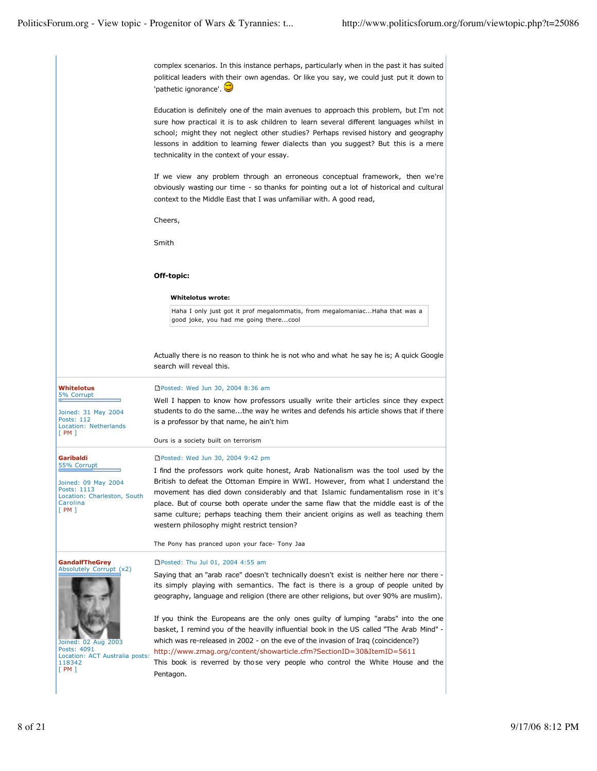complex scenarios. In this instance perhaps, particularly when in the past it has suited political leaders with their own agendas. Or like you say, we could just put it down to 'pathetic ignorance'.

Education is definitely one of the main avenues to approach this problem, but I'm not sure how practical it is to ask children to learn several different languages whilst in school; might they not neglect other studies? Perhaps revised history and geography lessons in addition to learning fewer dialects than you suggest? But this is a mere technicality in the context of your essay.

If we view any problem through an erroneous conceptual framework, then we're obviously wasting our time - so thanks for pointing out a lot of historical and cultural context to the Middle East that I was unfamiliar with. A good read,

Cheers,

Smith

#### **Off-topic:**

#### **Whitelotus wrote:**

Haha I only just got it prof megalommatis, from megalomaniac...Haha that was a good joke, you had me going there...cool

Actually there is no reason to think he is not who and what he say he is; A quick Google search will reveal this.

Well I happen to know how professors usually write their articles since they expect

#### **Whitelotus** 5% Corrupt

**Garibaldi** 55% Corrupt

Carolina  $[PM]$ 

Joined: 31 May 2004 Posts: 112 Location: Netherlands [ PM ]

Joined: 09 May 2004 Posts: 1113

Location: Charleston, South

students to do the same...the way he writes and defends his article shows that if there is a professor by that name, he ain't him

**Posted: Wed Jun 30, 2004 8:36 am** 

Ours is a society built on terrorism

### ■Posted: Wed Jun 30, 2004 9:42 pm

I find the professors work quite honest, Arab Nationalism was the tool used by the British to defeat the Ottoman Empire in WWI. However, from what I understand the movement has died down considerably and that Islamic fundamentalism rose in it's place. But of course both operate under the same flaw that the middle east is of the same culture; perhaps teaching them their ancient origins as well as teaching them western philosophy might restrict tension?

The Pony has pranced upon your face- Tony Jaa

**GandalfTheGrey**



Joined: 02 Aug 2003 Posts: 4091 Location: ACT Australia posts: 118342 [ PM ]

Posted: Thu Jul 01, 2004 4:55 am

Saying that an "arab race" doesn't technically doesn't exist is neither here nor there its simply playing with semantics. The fact is there is a group of people united by geography, language and religion (there are other religions, but over 90% are muslim).

If you think the Europeans are the only ones guilty of lumping "arabs" into the one basket, I remind you of the heavilly influential book in the US called "The Arab Mind" which was re-released in 2002 - on the eve of the invasion of Iraq (coincidence?) http://www.zmag.org/content/showarticle.cfm?SectionID=30&ItemID=5611

This book is reverred by those very people who control the White House and the Pentagon.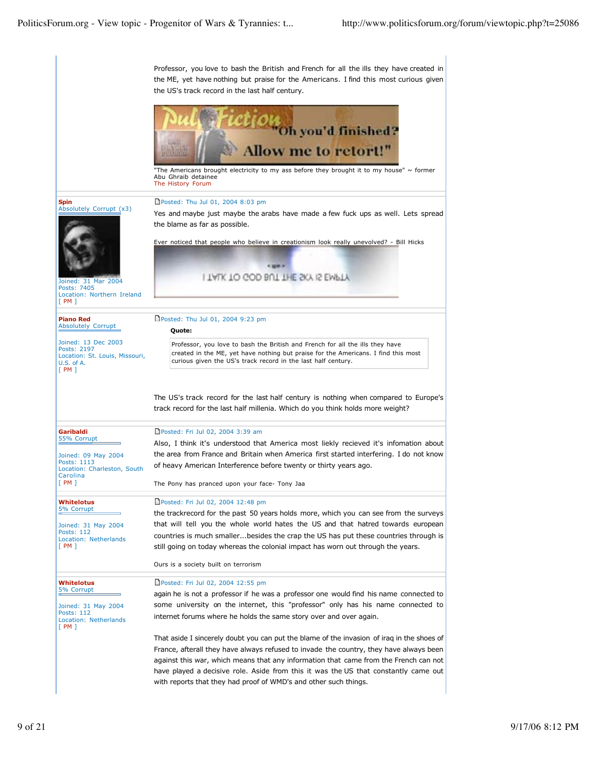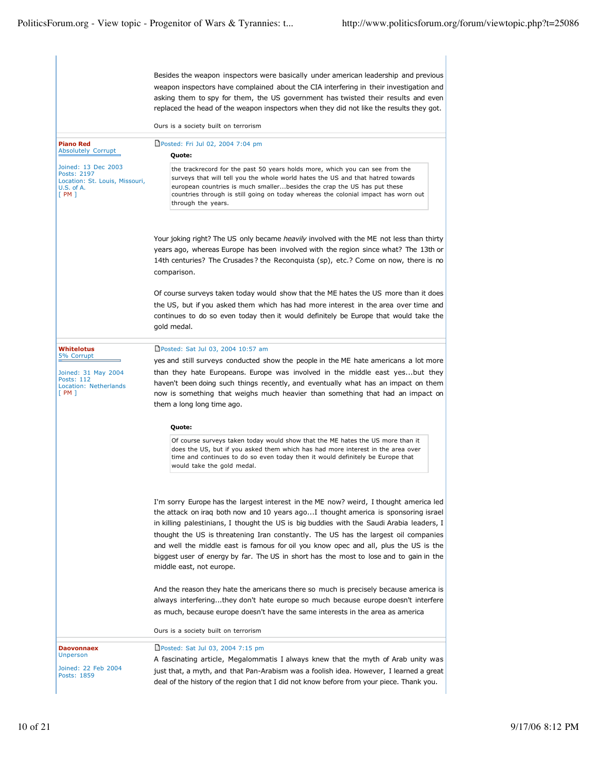Besides the weapon inspectors were basically under american leadership and previous weapon inspectors have complained about the CIA interfering in their investigation and asking them to spy for them, the US government has twisted their results and even replaced the head of the weapon inspectors when they did not like the results they got. Ours is a society built on terrorism **Piano Red** Absolutely Corrupt Joined: 13 Dec 2003 Posts: 2197 Location: St. Louis, Missouri, U.S. of A. [ PM ] Posted: Fri Jul 02, 2004 7:04 pm **Quote:** the trackrecord for the past 50 years holds more, which you can see from the surveys that will tell you the whole world hates the US and that hatred towards european countries is much smaller...besides the crap the US has put these countries through is still going on today whereas the colonial impact has worn out through the years. Your joking right? The US only became *heavily* involved with the ME not less than thirty years ago, whereas Europe has been involved with the region since what? The 13th or 14th centuries? The Crusades ? the Reconquista (sp), etc.? Come on now, there is no comparison. Of course surveys taken today would show that the ME hates the US more than it does the US, but if you asked them which has had more interest in the area over time and continues to do so even today then it would definitely be Europe that would take the gold medal. **Whitelotus** 5% Corrupt Joined: 31 May 2004 Posts: 112 Location: Netherlands [ PM ] Posted: Sat Jul 03, 2004 10:57 am yes and still surveys conducted show the people in the ME hate americans a lot more than they hate Europeans. Europe was involved in the middle east yes...but they haven't been doing such things recently, and eventually what has an impact on them now is something that weighs much heavier than something that had an impact on them a long long time ago. **Quote:** Of course surveys taken today would show that the ME hates the US more than it does the US, but if you asked them which has had more interest in the area over time and continues to do so even today then it would definitely be Europe that would take the gold medal. I'm sorry Europe has the largest interest in the ME now? weird, I thought america led the attack on iraq both now and 10 years ago...I thought america is sponsoring israel in killing palestinians, I thought the US is big buddies with the Saudi Arabia leaders, I thought the US is threatening Iran constantly. The US has the largest oil companies and well the middle east is famous for oil you know opec and all, plus the US is the biggest user of energy by far. The US in short has the most to lose and to gain in the middle east, not europe. And the reason they hate the americans there so much is precisely because america is always interfering...they don't hate europe so much because europe doesn't interfere as much, because europe doesn't have the same interests in the area as america Ours is a society built on terrorism **Daovonnaex** Unperson Joined: 22 Feb 2004 Posts: 1859 Posted: Sat Jul 03, 2004 7:15 pm A fascinating article, Megalommatis I always knew that the myth of Arab unity was just that, a myth, and that Pan-Arabism was a foolish idea. However, I learned a great deal of the history of the region that I did not know before from your piece. Thank you.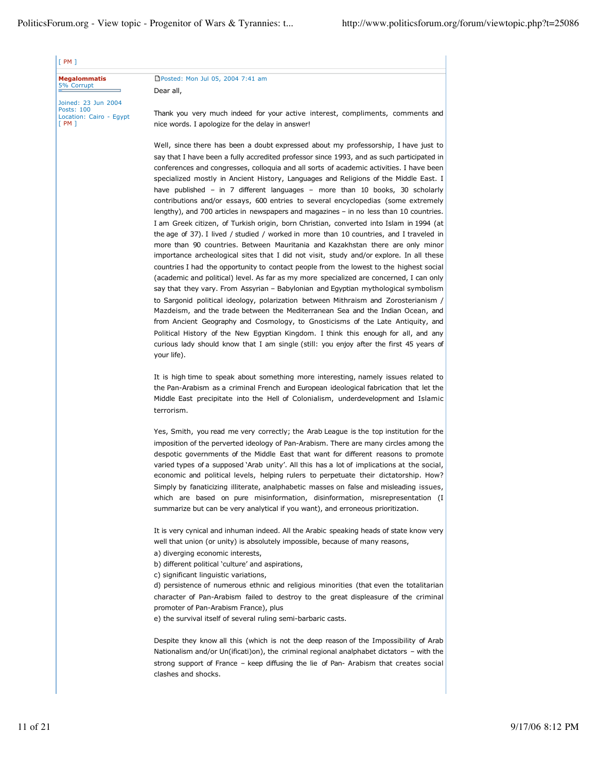| <b>Megalommatis</b><br>5% Corrupt                                    | □Posted: Mon Jul 05, 2004 7:41 am                                                                                                                                                                                                                                                                                                                                                                                                                                                                                                                                                                                                                                                                                                                                                                                                                                                                                                                                                                                                                                                                         |
|----------------------------------------------------------------------|-----------------------------------------------------------------------------------------------------------------------------------------------------------------------------------------------------------------------------------------------------------------------------------------------------------------------------------------------------------------------------------------------------------------------------------------------------------------------------------------------------------------------------------------------------------------------------------------------------------------------------------------------------------------------------------------------------------------------------------------------------------------------------------------------------------------------------------------------------------------------------------------------------------------------------------------------------------------------------------------------------------------------------------------------------------------------------------------------------------|
|                                                                      | Dear all,                                                                                                                                                                                                                                                                                                                                                                                                                                                                                                                                                                                                                                                                                                                                                                                                                                                                                                                                                                                                                                                                                                 |
| Joined: 23 Jun 2004<br>Posts: 100<br>Location: Cairo - Egypt<br>[PM] | Thank you very much indeed for your active interest, compliments, comments and<br>nice words. I apologize for the delay in answer!                                                                                                                                                                                                                                                                                                                                                                                                                                                                                                                                                                                                                                                                                                                                                                                                                                                                                                                                                                        |
|                                                                      | Well, since there has been a doubt expressed about my professorship, I have just to<br>say that I have been a fully accredited professor since 1993, and as such participated in<br>conferences and congresses, colloguia and all sorts of academic activities. I have been<br>specialized mostly in Ancient History, Languages and Religions of the Middle East. I<br>have published - in 7 different languages - more than 10 books, 30 scholarly<br>contributions and/or essays, 600 entries to several encyclopedias (some extremely<br>lengthy), and 700 articles in newspapers and magazines $-$ in no less than 10 countries.                                                                                                                                                                                                                                                                                                                                                                                                                                                                      |
|                                                                      | I am Greek citizen, of Turkish origin, born Christian, converted into Islam in 1994 (at<br>the age of 37). I lived / studied / worked in more than 10 countries, and I traveled in<br>more than 90 countries. Between Mauritania and Kazakhstan there are only minor<br>importance archeological sites that I did not visit, study and/or explore. In all these<br>countries I had the opportunity to contact people from the lowest to the highest social<br>(academic and political) level. As far as my more specialized are concerned, I can only<br>say that they vary. From Assyrian – Babylonian and Egyptian mythological symbolism<br>to Sargonid political ideology, polarization between Mithraism and Zorosterianism /<br>Mazdeism, and the trade between the Mediterranean Sea and the Indian Ocean, and<br>from Ancient Geography and Cosmology, to Gnosticisms of the Late Antiquity, and<br>Political History of the New Egyptian Kingdom. I think this enough for all, and any<br>curious lady should know that I am single (still: you enjoy after the first 45 years of<br>your life). |
|                                                                      | It is high time to speak about something more interesting, namely issues related to<br>the Pan-Arabism as a criminal French and European ideological fabrication that let the<br>Middle East precipitate into the Hell of Colonialism, underdevelopment and Islamic<br>terrorism.                                                                                                                                                                                                                                                                                                                                                                                                                                                                                                                                                                                                                                                                                                                                                                                                                         |
|                                                                      | Yes, Smith, you read me very correctly; the Arab League is the top institution for the<br>imposition of the perverted ideology of Pan-Arabism. There are many circles among the<br>despotic governments of the Middle East that want for different reasons to promote<br>varied types of a supposed `Arab unity'. All this has a lot of implications at the social,<br>economic and political levels, helping rulers to perpetuate their dictatorship. How?<br>Simply by fanaticizing illiterate, analphabetic masses on false and misleading issues,<br>which are based on pure misinformation, disinformation, misrepresentation (I<br>summarize but can be very analytical if you want), and erroneous prioritization.                                                                                                                                                                                                                                                                                                                                                                                 |
|                                                                      | It is very cynical and inhuman indeed. All the Arabic speaking heads of state know very<br>well that union (or unity) is absolutely impossible, because of many reasons,<br>a) diverging economic interests,<br>b) different political 'culture' and aspirations,                                                                                                                                                                                                                                                                                                                                                                                                                                                                                                                                                                                                                                                                                                                                                                                                                                         |
|                                                                      | c) significant linguistic variations,<br>d) persistence of numerous ethnic and religious minorities (that even the totalitarian<br>character of Pan-Arabism failed to destroy to the great displeasure of the criminal<br>promoter of Pan-Arabism France), plus<br>e) the survival itself of several ruling semi-barbaric casts.                                                                                                                                                                                                                                                                                                                                                                                                                                                                                                                                                                                                                                                                                                                                                                          |
|                                                                      | Despite they know all this (which is not the deep reason of the Impossibility of Arab<br>Nationalism and/or Un(ificati)on), the criminal regional analphabet dictators – with the<br>strong support of France – keep diffusing the lie of Pan- Arabism that creates social<br>clashes and shocks.                                                                                                                                                                                                                                                                                                                                                                                                                                                                                                                                                                                                                                                                                                                                                                                                         |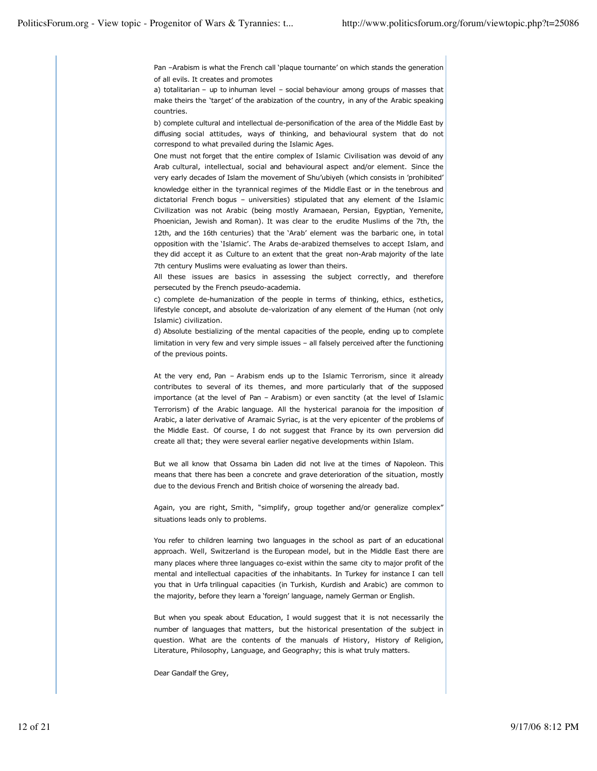Pan –Arabism is what the French call 'plaque tournante' on which stands the generation of all evils. It creates and promotes

a) totalitarian – up to inhuman level – social behaviour among groups of masses that make theirs the 'target' of the arabization of the country, in any of the Arabic speaking countries.

b) complete cultural and intellectual de-personification of the area of the Middle East by diffusing social attitudes, ways of thinking, and behavioural system that do not correspond to what prevailed during the Islamic Ages.

One must not forget that the entire complex of Islamic Civilisation was devoid of any Arab cultural, intellectual, social and behavioural aspect and/or element. Since the very early decades of Islam the movement of Shu'ubiyeh (which consists in 'prohibited' knowledge either in the tyrannical regimes of the Middle East or in the tenebrous and dictatorial French bogus – universities) stipulated that any element of the Islamic Civilization was not Arabic (being mostly Aramaean, Persian, Egyptian, Yemenite, Phoenician, Jewish and Roman). It was clear to the erudite Muslims of the 7th, the 12th, and the 16th centuries) that the 'Arab' element was the barbaric one, in total opposition with the 'Islamic'. The Arabs de-arabized themselves to accept Islam, and they did accept it as Culture to an extent that the great non-Arab majority of the late 7th century Muslims were evaluating as lower than theirs.

All these issues are basics in assessing the subject correctly, and therefore persecuted by the French pseudo-academia.

c) complete de-humanization of the people in terms of thinking, ethics, esthetics, lifestyle concept, and absolute de-valorization of any element of the Human (not only Islamic) civilization.

d) Absolute bestializing of the mental capacities of the people, ending up to complete limitation in very few and very simple issues – all falsely perceived after the functioning of the previous points.

At the very end, Pan – Arabism ends up to the Islamic Terrorism, since it already contributes to several of its themes, and more particularly that of the supposed importance (at the level of Pan – Arabism) or even sanctity (at the level of Islamic Terrorism) of the Arabic language. All the hysterical paranoia for the imposition of Arabic, a later derivative of Aramaic Syriac, is at the very epicenter of the problems of the Middle East. Of course, I do not suggest that France by its own perversion did create all that; they were several earlier negative developments within Islam.

But we all know that Ossama bin Laden did not live at the times of Napoleon. This means that there has been a concrete and grave deterioration of the situation, mostly due to the devious French and British choice of worsening the already bad.

Again, you are right, Smith, "simplify, group together and/or generalize complex" situations leads only to problems.

You refer to children learning two languages in the school as part of an educational approach. Well, Switzerland is the European model, but in the Middle East there are many places where three languages co-exist within the same city to major profit of the mental and intellectual capacities of the inhabitants. In Turkey for instance I can tell you that in Urfa trilingual capacities (in Turkish, Kurdish and Arabic) are common to the majority, before they learn a 'foreign' language, namely German or English.

But when you speak about Education, I would suggest that it is not necessarily the number of languages that matters, but the historical presentation of the subject in question. What are the contents of the manuals of History, History of Religion, Literature, Philosophy, Language, and Geography; this is what truly matters.

Dear Gandalf the Grey,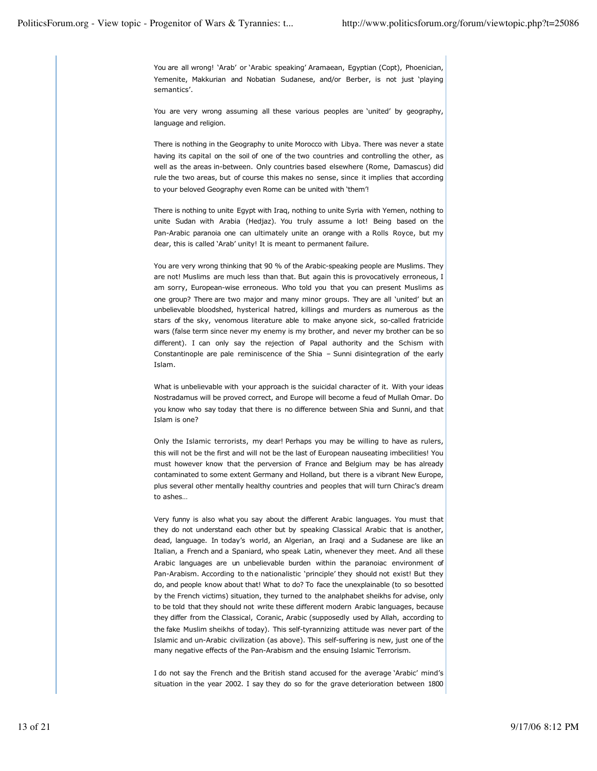You are all wrong! 'Arab' or 'Arabic speaking' Aramaean, Egyptian (Copt), Phoenician, Yemenite, Makkurian and Nobatian Sudanese, and/or Berber, is not just 'playing semantics'.

You are very wrong assuming all these various peoples are 'united' by geography, language and religion.

There is nothing in the Geography to unite Morocco with Libya. There was never a state having its capital on the soil of one of the two countries and controlling the other, as well as the areas in-between. Only countries based elsewhere (Rome, Damascus) did rule the two areas, but of course this makes no sense, since it implies that according to your beloved Geography even Rome can be united with 'them'!

There is nothing to unite Egypt with Iraq, nothing to unite Syria with Yemen, nothing to unite Sudan with Arabia (Hedjaz). You truly assume a lot! Being based on the Pan-Arabic paranoia one can ultimately unite an orange with a Rolls Royce, but my dear, this is called 'Arab' unity! It is meant to permanent failure.

You are very wrong thinking that 90 % of the Arabic-speaking people are Muslims. They are not! Muslims are much less than that. But again this is provocatively erroneous, I am sorry, European-wise erroneous. Who told you that you can present Muslims as one group? There are two major and many minor groups. They are all 'united' but an unbelievable bloodshed, hysterical hatred, killings and murders as numerous as the stars of the sky, venomous literature able to make anyone sick, so-called fratricide wars (false term since never my enemy is my brother, and never my brother can be so different). I can only say the rejection of Papal authority and the Schism with Constantinople are pale reminiscence of the Shia – Sunni disintegration of the early Islam.

What is unbelievable with your approach is the suicidal character of it. With your ideas Nostradamus will be proved correct, and Europe will become a feud of Mullah Omar. Do you know who say today that there is no difference between Shia and Sunni, and that Islam is one?

Only the Islamic terrorists, my dear! Perhaps you may be willing to have as rulers, this will not be the first and will not be the last of European nauseating imbecilities! You must however know that the perversion of France and Belgium may be has already contaminated to some extent Germany and Holland, but there is a vibrant New Europe, plus several other mentally healthy countries and peoples that will turn Chirac's dream to ashes…

Very funny is also what you say about the different Arabic languages. You must that they do not understand each other but by speaking Classical Arabic that is another, dead, language. In today's world, an Algerian, an Iraqi and a Sudanese are like an Italian, a French and a Spaniard, who speak Latin, whenever they meet. And all these Arabic languages are un unbelievable burden within the paranoiac environment of Pan-Arabism. According to the nationalistic 'principle' they should not exist! But they do, and people know about that! What to do? To face the unexplainable (to so besotted by the French victims) situation, they turned to the analphabet sheikhs for advise, only to be told that they should not write these different modern Arabic languages, because they differ from the Classical, Coranic, Arabic (supposedly used by Allah, according to the fake Muslim sheikhs of today). This self-tyrannizing attitude was never part of the Islamic and un-Arabic civilization (as above). This self-suffering is new, just one of the many negative effects of the Pan-Arabism and the ensuing Islamic Terrorism.

I do not say the French and the British stand accused for the average 'Arabic' mind's situation in the year 2002. I say they do so for the grave deterioration between 1800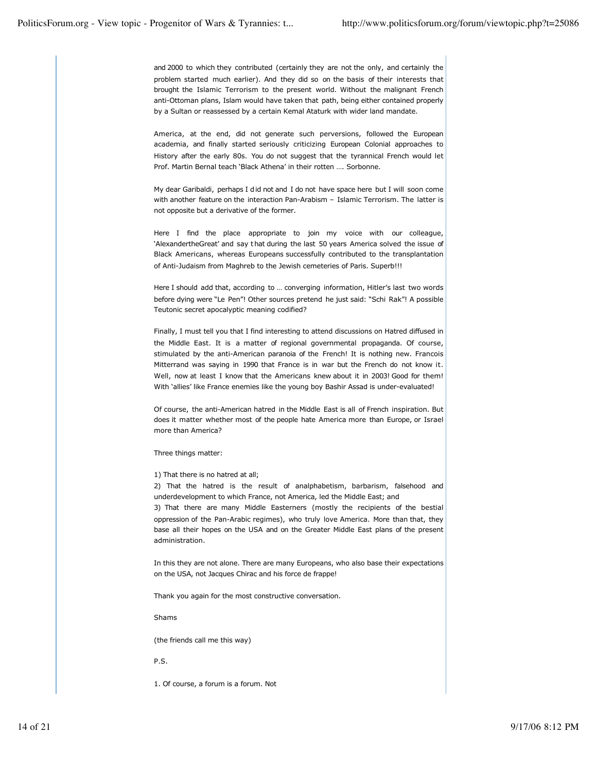and 2000 to which they contributed (certainly they are not the only, and certainly the problem started much earlier). And they did so on the basis of their interests that brought the Islamic Terrorism to the present world. Without the malignant French anti-Ottoman plans, Islam would have taken that path, being either contained properly by a Sultan or reassessed by a certain Kemal Ataturk with wider land mandate.

America, at the end, did not generate such perversions, followed the European academia, and finally started seriously criticizing European Colonial approaches to History after the early 80s. You do not suggest that the tyrannical French would let Prof. Martin Bernal teach 'Black Athena' in their rotten …. Sorbonne.

My dear Garibaldi, perhaps I did not and I do not have space here but I will soon come with another feature on the interaction Pan-Arabism – Islamic Terrorism. The latter is not opposite but a derivative of the former.

Here I find the place appropriate to join my voice with our colleague, 'AlexandertheGreat' and say that during the last 50 years America solved the issue of Black Americans, whereas Europeans successfully contributed to the transplantation of Anti-Judaism from Maghreb to the Jewish cemeteries of Paris. Superb!!!

Here I should add that, according to … converging information, Hitler's last two words before dying were "Le Pen"! Other sources pretend he just said: "Schi Rak"! A possible Teutonic secret apocalyptic meaning codified?

Finally, I must tell you that I find interesting to attend discussions on Hatred diffused in the Middle East. It is a matter of regional governmental propaganda. Of course, stimulated by the anti-American paranoia of the French! It is nothing new. Francois Mitterrand was saying in 1990 that France is in war but the French do not know it. Well, now at least I know that the Americans knew about it in 2003! Good for them! With 'allies' like France enemies like the young boy Bashir Assad is under-evaluated!

Of course, the anti-American hatred in the Middle East is all of French inspiration. But does it matter whether most of the people hate America more than Europe, or Israel more than America?

Three things matter:

1) That there is no hatred at all;

2) That the hatred is the result of analphabetism, barbarism, falsehood and underdevelopment to which France, not America, led the Middle East; and

3) That there are many Middle Easterners (mostly the recipients of the bestial oppression of the Pan-Arabic regimes), who truly love America. More than that, they base all their hopes on the USA and on the Greater Middle East plans of the present administration.

In this they are not alone. There are many Europeans, who also base their expectations on the USA, not Jacques Chirac and his force de frappe!

Thank you again for the most constructive conversation.

Shams

(the friends call me this way)

P.S.

1. Of course, a forum is a forum. Not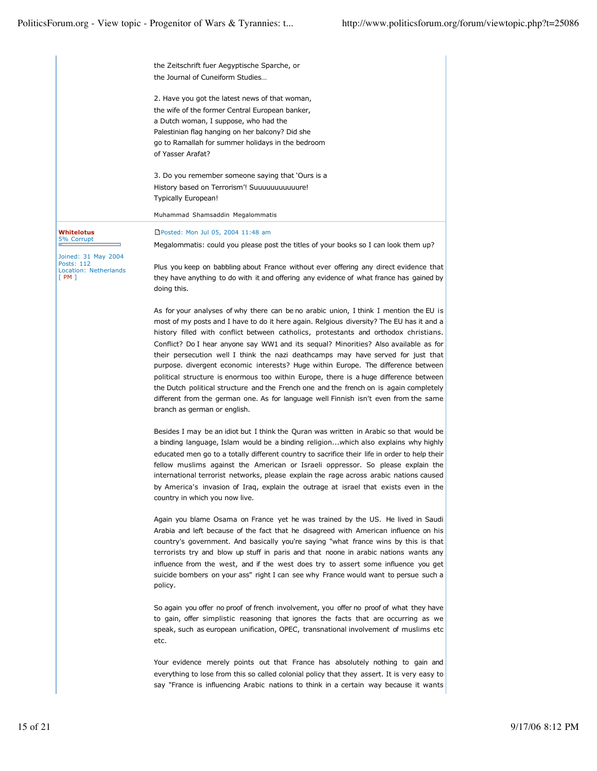|                                                                           | the Zeitschrift fuer Aegyptische Sparche, or                                                                                                                                                                                                                                                                                                                                                                                                                                                                                                                                          |  |  |
|---------------------------------------------------------------------------|---------------------------------------------------------------------------------------------------------------------------------------------------------------------------------------------------------------------------------------------------------------------------------------------------------------------------------------------------------------------------------------------------------------------------------------------------------------------------------------------------------------------------------------------------------------------------------------|--|--|
|                                                                           | the Journal of Cuneiform Studies                                                                                                                                                                                                                                                                                                                                                                                                                                                                                                                                                      |  |  |
|                                                                           | 2. Have you got the latest news of that woman,                                                                                                                                                                                                                                                                                                                                                                                                                                                                                                                                        |  |  |
|                                                                           | the wife of the former Central European banker,                                                                                                                                                                                                                                                                                                                                                                                                                                                                                                                                       |  |  |
|                                                                           | a Dutch woman, I suppose, who had the                                                                                                                                                                                                                                                                                                                                                                                                                                                                                                                                                 |  |  |
|                                                                           | Palestinian flag hanging on her balcony? Did she<br>go to Ramallah for summer holidays in the bedroom                                                                                                                                                                                                                                                                                                                                                                                                                                                                                 |  |  |
|                                                                           | of Yasser Arafat?                                                                                                                                                                                                                                                                                                                                                                                                                                                                                                                                                                     |  |  |
|                                                                           | 3. Do you remember someone saying that 'Ours is a                                                                                                                                                                                                                                                                                                                                                                                                                                                                                                                                     |  |  |
|                                                                           | History based on Terrorism'! Suuuuuuuuuuure!<br>Typically European!                                                                                                                                                                                                                                                                                                                                                                                                                                                                                                                   |  |  |
|                                                                           | Muhammad Shamsaddin Megalommatis                                                                                                                                                                                                                                                                                                                                                                                                                                                                                                                                                      |  |  |
| Whitelotus                                                                | □Posted: Mon Jul 05, 2004 11:48 am                                                                                                                                                                                                                                                                                                                                                                                                                                                                                                                                                    |  |  |
| 5% Corrupt                                                                | Megalommatis: could you please post the titles of your books so I can look them up?                                                                                                                                                                                                                                                                                                                                                                                                                                                                                                   |  |  |
| Joined: 31 May 2004<br>Posts: 112<br><b>Location: Netherlands</b><br>[PM] | Plus you keep on babbling about France without ever offering any direct evidence that<br>they have anything to do with it and offering any evidence of what france has gained by<br>doing this.                                                                                                                                                                                                                                                                                                                                                                                       |  |  |
|                                                                           | As for your analyses of why there can be no arabic union, I think I mention the EU is<br>most of my posts and I have to do it here again. Relgious diversity? The EU has it and a<br>history filled with conflict between catholics, protestants and orthodox christians.                                                                                                                                                                                                                                                                                                             |  |  |
|                                                                           | Conflict? Do I hear anyone say WW1 and its sequal? Minorities? Also available as for<br>their persecution well I think the nazi deathcamps may have served for just that<br>purpose. divergent economic interests? Huge within Europe. The difference between<br>political structure is enormous too within Europe, there is a huge difference between<br>the Dutch political structure and the French one and the french on is again completely<br>different from the german one. As for language well Finnish isn't even from the same<br>branch as german or english.              |  |  |
|                                                                           | Besides I may be an idiot but I think the Quran was written in Arabic so that would be<br>a binding language, Islam would be a binding religionwhich also explains why highly<br>educated men go to a totally different country to sacrifice their life in order to help their<br>fellow muslims against the American or Israeli oppressor. So please explain the<br>international terrorist networks, please explain the rage across arabic nations caused<br>by America's invasion of Iraq, explain the outrage at israel that exists even in the<br>country in which you now live. |  |  |
|                                                                           | Again you blame Osama on France yet he was trained by the US. He lived in Saudi<br>Arabia and left because of the fact that he disagreed with American influence on his<br>country's government. And basically you're saying "what france wins by this is that<br>terrorists try and blow up stuff in paris and that noone in arabic nations wants any<br>influence from the west, and if the west does try to assert some influence you get<br>suicide bombers on your ass" right I can see why France would want to persue such a<br>policy.                                        |  |  |
|                                                                           | So again you offer no proof of french involvement, you offer no proof of what they have<br>to gain, offer simplistic reasoning that ignores the facts that are occurring as we<br>speak, such as european unification, OPEC, transnational involvement of muslims etc<br>etc.                                                                                                                                                                                                                                                                                                         |  |  |
|                                                                           | Your evidence merely points out that France has absolutely nothing to gain and<br>everything to lose from this so called colonial policy that they assert. It is very easy to<br>say "France is influencing Arabic nations to think in a certain way because it wants                                                                                                                                                                                                                                                                                                                 |  |  |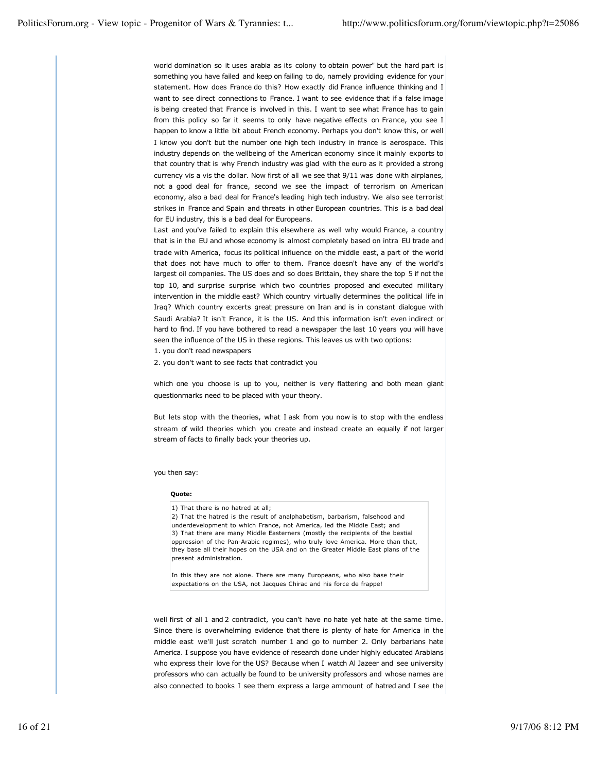world domination so it uses arabia as its colony to obtain power" but the hard part is something you have failed and keep on failing to do, namely providing evidence for your statement. How does France do this? How exactly did France influence thinking and I want to see direct connections to France. I want to see evidence that if a false image is being created that France is involved in this. I want to see what France has to gain from this policy so far it seems to only have negative effects on France, you see I happen to know a little bit about French economy. Perhaps you don't know this, or well I know you don't but the number one high tech industry in france is aerospace. This industry depends on the wellbeing of the American economy since it mainly exports to that country that is why French industry was glad with the euro as it provided a strong currency vis a vis the dollar. Now first of all we see that 9/11 was done with airplanes, not a good deal for france, second we see the impact of terrorism on American economy, also a bad deal for France's leading high tech industry. We also see terrorist strikes in France and Spain and threats in other European countries. This is a bad deal for EU industry, this is a bad deal for Europeans.

Last and you've failed to explain this elsewhere as well why would France, a country that is in the EU and whose economy is almost completely based on intra EU trade and trade with America, focus its political influence on the middle east, a part of the world that does not have much to offer to them. France doesn't have any of the world's largest oil companies. The US does and so does Brittain, they share the top 5 if not the top 10, and surprise surprise which two countries proposed and executed military intervention in the middle east? Which country virtually determines the political life in Iraq? Which country excerts great pressure on Iran and is in constant dialogue with Saudi Arabia? It isn't France, it is the US. And this information isn't even indirect or hard to find. If you have bothered to read a newspaper the last 10 years you will have seen the influence of the US in these regions. This leaves us with two options:

1. you don't read newspapers

2. you don't want to see facts that contradict you

which one you choose is up to you, neither is very flattering and both mean giant questionmarks need to be placed with your theory.

But lets stop with the theories, what I ask from you now is to stop with the endless stream of wild theories which you create and instead create an equally if not larger stream of facts to finally back your theories up.

you then say:

#### **Quote:**

1) That there is no hatred at all;

2) That the hatred is the result of analphabetism, barbarism, falsehood and underdevelopment to which France, not America, led the Middle East; and 3) That there are many Middle Easterners (mostly the recipients of the bestial oppression of the Pan-Arabic regimes), who truly love America. More than that, they base all their hopes on the USA and on the Greater Middle East plans of the present administration.

In this they are not alone. There are many Europeans, who also base their expectations on the USA, not Jacques Chirac and his force de frappe!

well first of all 1 and 2 contradict, you can't have no hate yet hate at the same time. Since there is overwhelming evidence that there is plenty of hate for America in the middle east we'll just scratch number 1 and go to number 2. Only barbarians hate America. I suppose you have evidence of research done under highly educated Arabians who express their love for the US? Because when I watch Al Jazeer and see university professors who can actually be found to be university professors and whose names are also connected to books I see them express a large ammount of hatred and I see the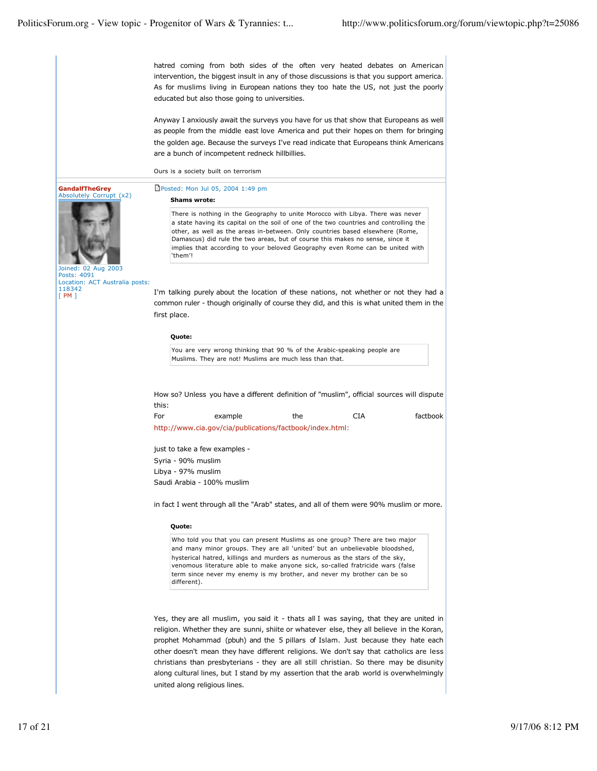**GandalfTheGrey** Absolutely Corrupt (x2)

Joined: 02 Aug 2003 Posts: 4091

118342 [ PM ]

Location: ACT Australia posts:

hatred coming from both sides of the often very heated debates on American intervention, the biggest insult in any of those discussions is that you support america. As for muslims living in European nations they too hate the US, not just the poorly educated but also those going to universities.

Anyway I anxiously await the surveys you have for us that show that Europeans as well as people from the middle east love America and put their hopes on them for bringing the golden age. Because the surveys I've read indicate that Europeans think Americans are a bunch of incompetent redneck hillbillies.

Ours is a society built on terrorism

Posted: Mon Jul 05, 2004 1:49 pm

### **Shams wrote:**

There is nothing in the Geography to unite Morocco with Libya. There was never a state having its capital on the soil of one of the two countries and controlling the other, as well as the areas in-between. Only countries based elsewhere (Rome, Damascus) did rule the two areas, but of course this makes no sense, since it implies that according to your beloved Geography even Rome can be united with 'them'!

I'm talking purely about the location of these nations, not whether or not they had a common ruler - though originally of course they did, and this is what united them in the first place.

### **Quote:**

You are very wrong thinking that 90 % of the Arabic-speaking people are Muslims. They are not! Muslims are much less than that.

How so? Unless you have a different definition of "muslim", official sources will dispute this:

| For | example                                                  | the | CIA | factbook |
|-----|----------------------------------------------------------|-----|-----|----------|
|     | http://www.cia.gov/cia/publications/factbook/index.html: |     |     |          |

just to take a few examples - Syria - 90% muslim Libya - 97% muslim Saudi Arabia - 100% muslim

in fact I went through all the "Arab" states, and all of them were 90% muslim or more.

### **Quote:**

Who told you that you can present Muslims as one group? There are two major and many minor groups. They are all 'united' but an unbelievable bloodshed, hysterical hatred, killings and murders as numerous as the stars of the sky, venomous literature able to make anyone sick, so-called fratricide wars (false term since never my enemy is my brother, and never my brother can be so different).

Yes, they are all muslim, you said it - thats all I was saying, that they are united in religion. Whether they are sunni, shiite or whatever else, they all believe in the Koran, prophet Mohammad (pbuh) and the 5 pillars of Islam. Just because they hate each other doesn't mean they have different religions. We don't say that catholics are less christians than presbyterians - they are all still christian. So there may be disunity along cultural lines, but I stand by my assertion that the arab world is overwhelmingly united along religious lines.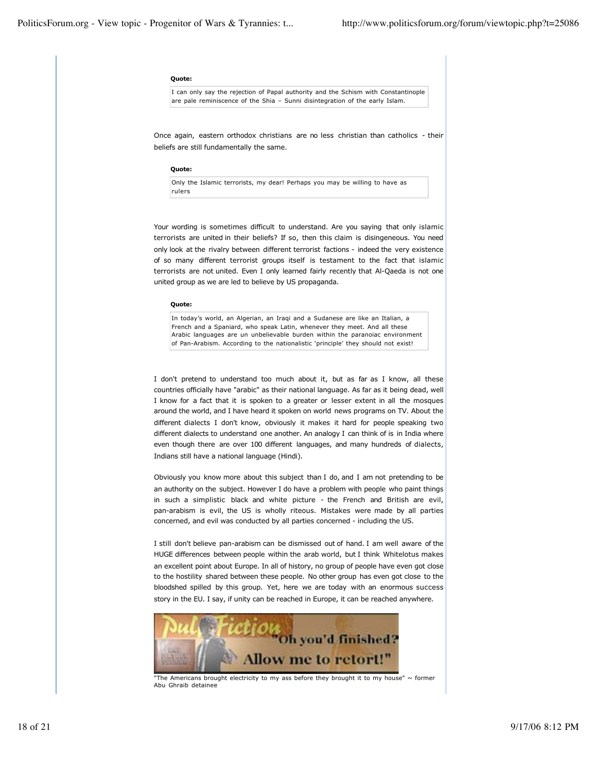#### **Quote:**

I can only say the rejection of Papal authority and the Schism with Constantinople are pale reminiscence of the Shia – Sunni disintegration of the early Islam.

Once again, eastern orthodox christians are no less christian than catholics - their beliefs are still fundamentally the same.

#### **Quote:**

Only the Islamic terrorists, my dear! Perhaps you may be willing to have as rulers

Your wording is sometimes difficult to understand. Are you saying that only islamic terrorists are united in their beliefs? If so, then this claim is disingeneous. You need only look at the rivalry between different terrorist factions - indeed the very existence of so many different terrorist groups itself is testament to the fact that islamic terrorists are not united. Even I only learned fairly recently that Al-Qaeda is not one united group as we are led to believe by US propaganda.

#### **Quote:**

In today's world, an Algerian, an Iraqi and a Sudanese are like an Italian, a French and a Spaniard, who speak Latin, whenever they meet. And all these Arabic languages are un unbelievable burden within the paranoiac environment of Pan-Arabism. According to the nationalistic 'principle' they should not exist!

I don't pretend to understand too much about it, but as far as I know, all these countries officially have "arabic" as their national language. As far as it being dead, well I know for a fact that it is spoken to a greater or lesser extent in all the mosques around the world, and I have heard it spoken on world news programs on TV. About the different dialects I don't know, obviously it makes it hard for people speaking two different dialects to understand one another. An analogy I can think of is in India where even though there are over 100 different languages, and many hundreds of dialects, Indians still have a national language (Hindi).

Obviously you know more about this subject than I do, and I am not pretending to be an authority on the subject. However I do have a problem with people who paint things in such a simplistic black and white picture - the French and British are evil, pan-arabism is evil, the US is wholly riteous. Mistakes were made by all parties concerned, and evil was conducted by all parties concerned - including the US.

I still don't believe pan-arabism can be dismissed out of hand. I am well aware of the HUGE differences between people within the arab world, but I think Whitelotus makes an excellent point about Europe. In all of history, no group of people have even got close to the hostility shared between these people. No other group has even got close to the bloodshed spilled by this group. Yet, here we are today with an enormous success story in the EU. I say, if unity can be reached in Europe, it can be reached anywhere.



"The Americans brought electricity to my ass before they brought it to my house"  $\sim$  former Abu Ghraib detainee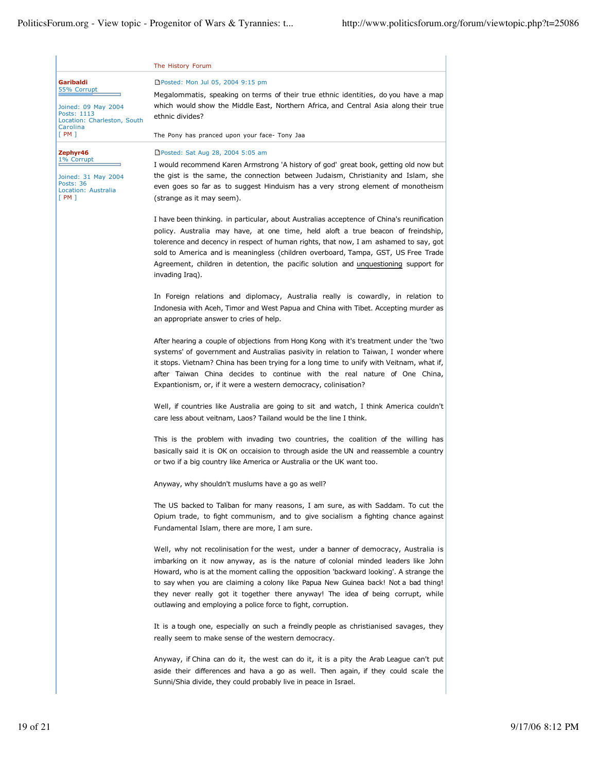|                                                                               | The History Forum                                                                                                                                                                                                                                                                                                                                                                                                                                                                                            |  |  |  |
|-------------------------------------------------------------------------------|--------------------------------------------------------------------------------------------------------------------------------------------------------------------------------------------------------------------------------------------------------------------------------------------------------------------------------------------------------------------------------------------------------------------------------------------------------------------------------------------------------------|--|--|--|
| Garibaldi<br>55% Corrupt                                                      | □Posted: Mon Jul 05, 2004 9:15 pm                                                                                                                                                                                                                                                                                                                                                                                                                                                                            |  |  |  |
| Joined: 09 May 2004<br>Posts: 1113<br>Location: Charleston, South<br>Carolina | Megalommatis, speaking on terms of their true ethnic identities, do you have a map<br>which would show the Middle East, Northern Africa, and Central Asia along their true<br>ethnic divides?                                                                                                                                                                                                                                                                                                                |  |  |  |
| [PM]                                                                          | The Pony has pranced upon your face- Tony Jaa                                                                                                                                                                                                                                                                                                                                                                                                                                                                |  |  |  |
| Zephyr46<br>1% Corrupt                                                        | □Posted: Sat Aug 28, 2004 5:05 am<br>I would recommend Karen Armstrong 'A history of god' great book, getting old now but                                                                                                                                                                                                                                                                                                                                                                                    |  |  |  |
| Joined: 31 May 2004<br><b>Posts: 36</b><br>Location: Australia                | the gist is the same, the connection between Judaism, Christianity and Islam, she<br>even goes so far as to suggest Hinduism has a very strong element of monotheism                                                                                                                                                                                                                                                                                                                                         |  |  |  |
| [PM]                                                                          | (strange as it may seem).                                                                                                                                                                                                                                                                                                                                                                                                                                                                                    |  |  |  |
|                                                                               | I have been thinking. in particular, about Australias acceptence of China's reunification<br>policy. Australia may have, at one time, held aloft a true beacon of freindship,<br>tolerence and decency in respect of human rights, that now, I am ashamed to say, got<br>sold to America and is meaningless (children overboard, Tampa, GST, US Free Trade                                                                                                                                                   |  |  |  |
|                                                                               | Agreement, children in detention, the pacific solution and unquestioning support for<br>invading Iraq).                                                                                                                                                                                                                                                                                                                                                                                                      |  |  |  |
|                                                                               |                                                                                                                                                                                                                                                                                                                                                                                                                                                                                                              |  |  |  |
|                                                                               | In Foreign relations and diplomacy, Australia really is cowardly, in relation to<br>Indonesia with Aceh, Timor and West Papua and China with Tibet. Accepting murder as<br>an appropriate answer to cries of help.                                                                                                                                                                                                                                                                                           |  |  |  |
|                                                                               | After hearing a couple of objections from Hong Kong with it's treatment under the 'two<br>systems' of government and Australias pasivity in relation to Taiwan, I wonder where<br>it stops. Vietnam? China has been trying for a long time to unify with Veitnam, what if,                                                                                                                                                                                                                                   |  |  |  |
|                                                                               | after Taiwan China decides to continue with the real nature of One China,<br>Expantionism, or, if it were a western democracy, colinisation?                                                                                                                                                                                                                                                                                                                                                                 |  |  |  |
|                                                                               | Well, if countries like Australia are going to sit and watch, I think America couldn't<br>care less about veitnam, Laos? Tailand would be the line I think.                                                                                                                                                                                                                                                                                                                                                  |  |  |  |
|                                                                               | This is the problem with invading two countries, the coalition of the willing has<br>basically said it is OK on occaision to through aside the UN and reassemble a country<br>or two if a big country like America or Australia or the UK want too.                                                                                                                                                                                                                                                          |  |  |  |
|                                                                               | Anyway, why shouldn't muslums have a go as well?                                                                                                                                                                                                                                                                                                                                                                                                                                                             |  |  |  |
|                                                                               | The US backed to Taliban for many reasons, I am sure, as with Saddam. To cut the<br>Opium trade, to fight communism, and to give socialism a fighting chance against<br>Fundamental Islam, there are more, I am sure.                                                                                                                                                                                                                                                                                        |  |  |  |
|                                                                               | Well, why not recolinisation for the west, under a banner of democracy, Australia is<br>imbarking on it now anyway, as is the nature of colonial minded leaders like John<br>Howard, who is at the moment calling the opposition 'backward looking'. A strange the<br>to say when you are claiming a colony like Papua New Guinea back! Not a bad thing!<br>they never really got it together there anyway! The idea of being corrupt, while<br>outlawing and employing a police force to fight, corruption. |  |  |  |
|                                                                               | It is a tough one, especially on such a freindly people as christianised savages, they<br>really seem to make sense of the western democracy.                                                                                                                                                                                                                                                                                                                                                                |  |  |  |
|                                                                               | Anyway, if China can do it, the west can do it, it is a pity the Arab League can't put<br>aside their differences and hava a go as well. Then again, if they could scale the<br>Sunni/Shia divide, they could probably live in peace in Israel.                                                                                                                                                                                                                                                              |  |  |  |